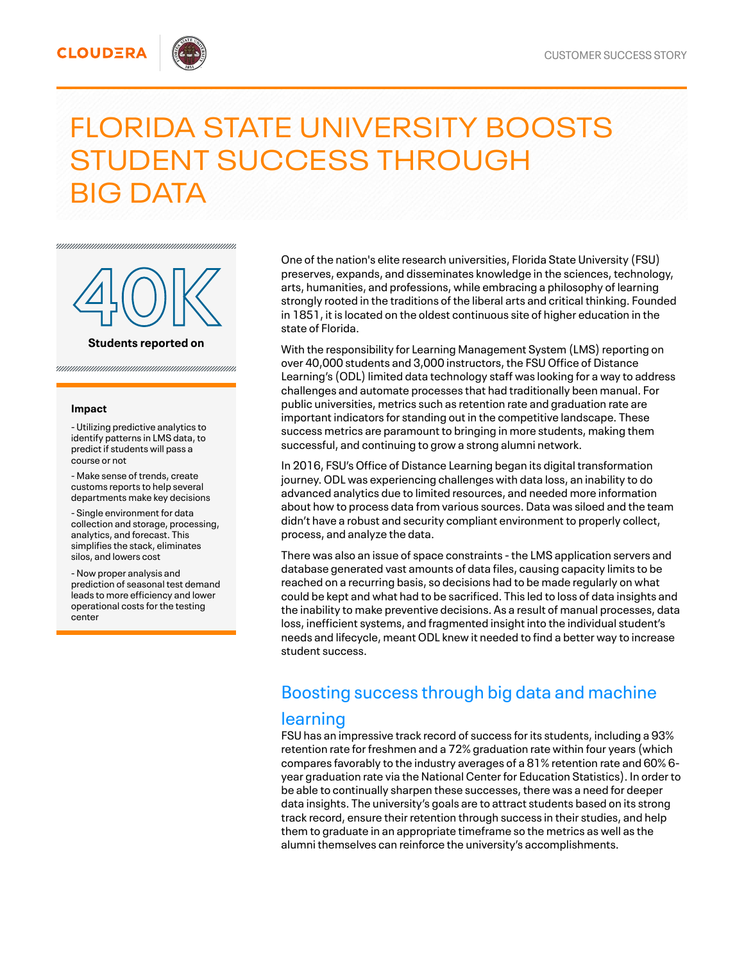#### **CLOUDERA**

# FLORIDA STATE UNIVERSITY BOOSTS STUDENT SUCCESS THROUGH BIG DATA



#### **Impact**

- Utilizing predictive analytics to identify patterns in LMS data, to predict if students will pass a course or not

- Make sense of trends, create customs reports to help several departments make key decisions

- Single environment for data collection and storage, processing, analytics, and forecast. This simplifies the stack, eliminates silos, and lowers cost

- Now proper analysis and prediction of seasonal test demand leads to more efficiency and lower operational costs for the testing center

One of the nation's elite research universities, Florida State University (FSU) preserves, expands, and disseminates knowledge in the sciences, technology, arts, humanities, and professions, while embracing a philosophy of learning strongly rooted in the traditions of the liberal arts and critical thinking. Founded in 1851, it is located on the oldest continuous site of higher education in the state of Florida.

With the responsibility for Learning Management System (LMS) reporting on over 40,000 students and 3,000 instructors, the FSU Office of Distance Learning's (ODL) limited data technology staff was looking for a way to address challenges and automate processes that had traditionally been manual. For public universities, metrics such as retention rate and graduation rate are important indicators for standing out in the competitive landscape. These success metrics are paramount to bringing in more students, making them successful, and continuing to grow a strong alumni network.

In 2016, FSU's Office of Distance Learning began its digital transformation journey. ODL was experiencing challenges with data loss, an inability to do advanced analytics due to limited resources, and needed more information about how to process data from various sources. Data was siloed and the team didn't have a robust and security compliant environment to properly collect, process, and analyze the data.

There was also an issue of space constraints - the LMS application servers and database generated vast amounts of data files, causing capacity limits to be reached on a recurring basis, so decisions had to be made regularly on what could be kept and what had to be sacrificed. This led to loss of data insights and the inability to make preventive decisions. As a result of manual processes, data loss, inefficient systems, and fragmented insight into the individual student's needs and lifecycle, meant ODL knew it needed to find a better way to increase student success.

### Boosting success through big data and machine

#### learning

FSU has an impressive track record of success for its students, including a 93% retention rate for freshmen and a 72% graduation rate within four years (which compares favorably to the industry averages of a 81% retention rate and 60% 6 year graduation rate via the National Center for Education Statistics). In order to be able to continually sharpen these successes, there was a need for deeper data insights. The university's goals are to attract students based on its strong track record, ensure their retention through success in their studies, and help them to graduate in an appropriate timeframe so the metrics as well as the alumni themselves can reinforce the university's accomplishments.

**Students** reported on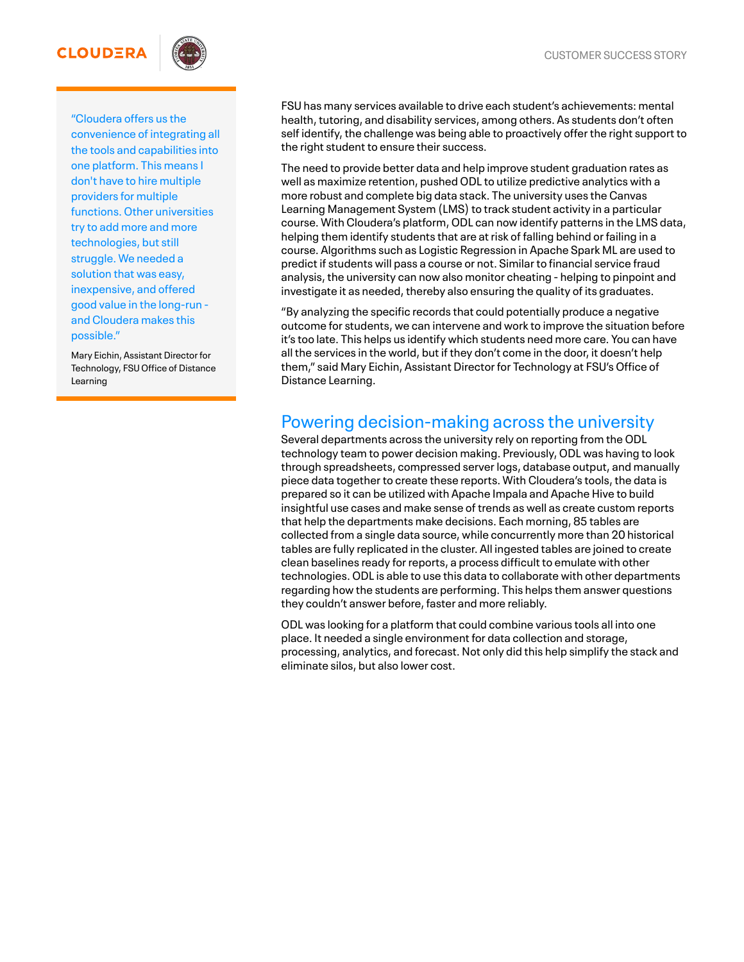#### **CLOUDERA**



"Cloudera offers us the convenience of integrating all the tools and capabilities into one platform. This means I don't have to hire multiple providers for multiple functions. Other universities try to add more and more technologies, but still struggle. We needed a solution that was easy, inexpensive, and offered good value in the long-run and Cloudera makes this possible."

Mary Eichin, Assistant Director for Technology, FSU Office of Distance Learning

FSU has many services available to drive each student's achievements: mental health, tutoring, and disability services, among others. As students don't often self identify, the challenge was being able to proactively offer the right support to the right student to ensure their success.

The need to provide better data and help improve student graduation rates as well as maximize retention, pushed ODL to utilize predictive analytics with a more robust and complete big data stack. The university uses the Canvas Learning Management System (LMS) to track student activity in a particular course. With Cloudera's platform, ODL can now identify patterns in the LMS data, helping them identify students that are at risk of falling behind or failing in a course. Algorithms such as Logistic Regression in Apache Spark ML are used to predict if students will pass a course or not. Similar to financial service fraud analysis, the university can now also monitor cheating - helping to pinpoint and investigate it as needed, thereby also ensuring the quality of its graduates.

"By analyzing the specific records that could potentially produce a negative outcome for students, we can intervene and work to improve the situation before it's too late. This helps us identify which students need more care. You can have all the services in the world, but if they don't come in the door, it doesn't help them," said Mary Eichin, Assistant Director for Technology at FSU's Office of Distance Learning.

## Powering decision-making across the university

Several departments across the university rely on reporting from the ODL technology team to power decision making. Previously, ODL was having to look through spreadsheets, compressed server logs, database output, and manually piece data together to create these reports. With Cloudera's tools, the data is prepared so it can be utilized with Apache Impala and Apache Hive to build insightful use cases and make sense of trends as well as create custom reports that help the departments make decisions. Each morning, 85 tables are collected from a single data source, while concurrently more than 20 historical tables are fully replicated in the cluster. All ingested tables are joined to create clean baselines ready for reports, a process difficult to emulate with other technologies. ODL is able to use this data to collaborate with other departments regarding how the students are performing. This helps them answer questions they couldn't answer before, faster and more reliably.

ODL was looking for a platform that could combine various tools all into one place. It needed a single environment for data collection and storage, processing, analytics, and forecast. Not only did this help simplify the stack and eliminate silos, but also lower cost.